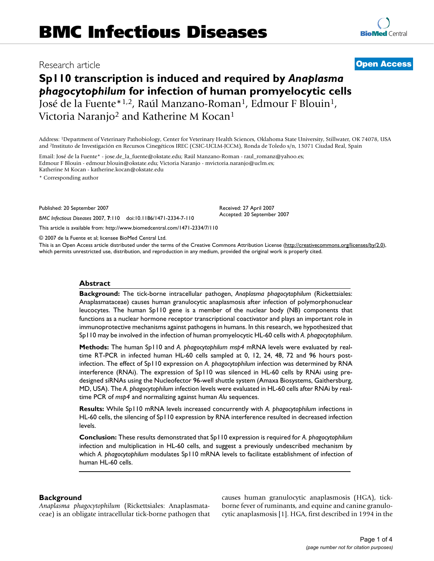## Research article **[Open Access](http://www.biomedcentral.com/info/about/charter/)**

# **Sp110 transcription is induced and required by** *Anaplasma phagocytophilum* **for infection of human promyelocytic cells** José de la Fuente\*<sup>1,2</sup>, Raúl Manzano-Roman<sup>1</sup>, Edmour F Blouin<sup>1</sup>, Victoria Naranjo<sup>2</sup> and Katherine M Kocan<sup>1</sup>

Address: 1Department of Veterinary Pathobiology, Center for Veterinary Health Sciences, Oklahoma State University, Stillwater, OK 74078, USA and 2Instituto de Investigación en Recursos Cinegéticos IREC (CSIC-UCLM-JCCM), Ronda de Toledo s/n, 13071 Ciudad Real, Spain

Email: José de la Fuente\* - jose.de\_la\_fuente@okstate.edu; Raúl Manzano-Roman - raul\_romanz@yahoo.es; Edmour F Blouin - edmour.blouin@okstate.edu; Victoria Naranjo - mvictoria.naranjo@uclm.es; Katherine M Kocan - katherine.kocan@okstate.edu

\* Corresponding author

Published: 20 September 2007

*BMC Infectious Diseases* 2007, **7**:110 doi:10.1186/1471-2334-7-110

[This article is available from: http://www.biomedcentral.com/1471-2334/7/110](http://www.biomedcentral.com/1471-2334/7/110)

© 2007 de la Fuente et al; licensee BioMed Central Ltd.

This is an Open Access article distributed under the terms of the Creative Commons Attribution License [\(http://creativecommons.org/licenses/by/2.0\)](http://creativecommons.org/licenses/by/2.0), which permits unrestricted use, distribution, and reproduction in any medium, provided the original work is properly cited.

Received: 27 April 2007 Accepted: 20 September 2007

#### **Abstract**

**Background:** The tick-borne intracellular pathogen, *Anaplasma phagocytophilum* (Rickettsiales: Anaplasmataceae) causes human granulocytic anaplasmosis after infection of polymorphonuclear leucocytes. The human Sp110 gene is a member of the nuclear body (NB) components that functions as a nuclear hormone receptor transcriptional coactivator and plays an important role in immunoprotective mechanisms against pathogens in humans. In this research, we hypothesized that Sp110 may be involved in the infection of human promyelocytic HL-60 cells with *A. phagocytophilum*.

**Methods:** The human Sp110 and *A. phagocytophilum msp4* mRNA levels were evaluated by realtime RT-PCR in infected human HL-60 cells sampled at 0, 12, 24, 48, 72 and 96 hours postinfection. The effect of Sp110 expression on *A. phagocytophilum* infection was determined by RNA interference (RNAi). The expression of Sp110 was silenced in HL-60 cells by RNAi using predesigned siRNAs using the Nucleofector 96-well shuttle system (Amaxa Biosystems, Gaithersburg, MD, USA). The *A. phagocytophilum* infection levels were evaluated in HL-60 cells after RNAi by realtime PCR of *msp4* and normalizing against human *Alu* sequences.

**Results:** While Sp110 mRNA levels increased concurrently with *A. phagocytophilum* infections in HL-60 cells, the silencing of Sp110 expression by RNA interference resulted in decreased infection levels.

**Conclusion:** These results demonstrated that Sp110 expression is required for *A. phagocytophilum* infection and multiplication in HL-60 cells, and suggest a previously undescribed mechanism by which *A. phagocytophilum* modulates Sp110 mRNA levels to facilitate establishment of infection of human HL-60 cells.

#### **Background**

*Anaplasma phagocytophilum* (Rickettsiales: Anaplasmataceae) is an obligate intracellular tick-borne pathogen that causes human granulocytic anaplasmosis (HGA), tickborne fever of ruminants, and equine and canine granulocytic anaplasmosis [1]. HGA, first described in 1994 in the

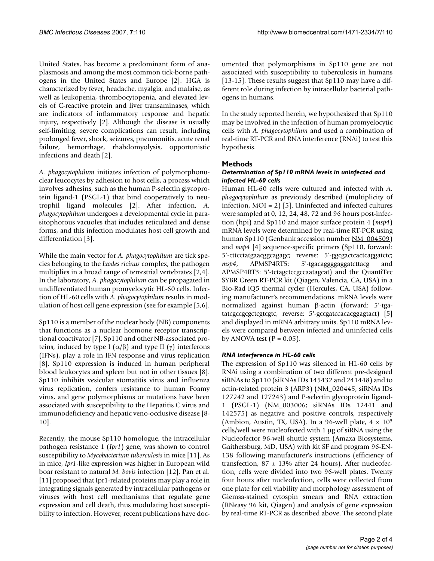United States, has become a predominant form of anaplasmosis and among the most common tick-borne pathogens in the United States and Europe [2]. HGA is characterized by fever, headache, myalgia, and malaise, as well as leukopenia, thrombocytopenia, and elevated levels of C-reactive protein and liver transaminases, which are indicators of inflammatory response and hepatic injury, respectively [2]. Although the disease is usually self-limiting, severe complications can result, including prolonged fever, shock, seizures, pneumonitis, acute renal failure, hemorrhage, rhabdomyolysis, opportunistic infections and death [2].

*A. phagocytophilum* initiates infection of polymorphonuclear leucocytes by adhesion to host cells, a process which involves adhesins, such as the human P-selectin glycoprotein ligand-1 **(**PSGL-1) that bind cooperatively to neutrophil ligand molecules [2]. After infection, *A. phagocytophilum* undergoes a developmental cycle in parasitophorous vacuoles that includes reticulated and dense forms, and this infection modulates host cell growth and differentiation [3].

While the main vector for *A. phagocytophilum* are tick species belonging to the *Ixodes ricinus* complex, the pathogen multiplies in a broad range of terrestrial vertebrates [2,4]. In the laboratory, *A. phagocytophilum* can be propagated in undifferentiated human promyelocytic HL-60 cells. Infection of HL-60 cells with *A. phagocytophilum* results in modulation of host cell gene expression (see for example [5,6].

Sp110 is a member of the nuclear body (NB) components that functions as a nuclear hormone receptor transcriptional coactivator [7]. Sp110 and other NB-associated proteins, induced by type I  $(α/β)$  and type II  $(γ)$  interferons (IFNs), play a role in IFN response and virus replication [8]. Sp110 expression is induced in human peripheral blood leukocytes and spleen but not in other tissues [8]. Sp110 inhibits vesicular stomatitis virus and influenza virus replication, confers resistance to human Foamy virus, and gene polymorphisms or mutations have been associated with susceptibility to the Hepatitis C virus and immunodeficiency and hepatic veno-occlusive disease [8- 10].

Recently, the mouse Sp110 homologue, the intracellular pathogen resistance 1 (*Ipr1*) gene, was shown to control susceptibility to *Mycobacterium tuberculosis* in mice [11]. As in mice, *Ipr1*-like expression was higher in European wild boar resistant to natural *M. bovis* infection [12]. Pan et al. [11] proposed that Ipr1-related proteins may play a role in integrating signals generated by intracellular pathogens or viruses with host cell mechanisms that regulate gene expression and cell death, thus modulating host susceptibility to infection. However, recent publications have documented that polymorphisms in Sp110 gene are not associated with susceptibility to tuberculosis in humans [13-15]. These results suggest that Sp110 may have a different role during infection by intracellular bacterial pathogens in humans.

In the study reported herein, we hypothesized that Sp110 may be involved in the infection of human promyelocytic cells with *A. phagocytophilum* and used a combination of real-time RT-PCR and RNA interference (RNAi) to test this hypothesis.

#### **Methods**

#### *Determination of Sp110 mRNA levels in uninfected and infected HL-60 cells*

Human HL-60 cells were cultured and infected with *A. phagocytophilum* as previously described (multiplicity of infection, MOI = 2) [5]. Uninfected and infected cultures were sampled at 0, 12, 24, 48, 72 and 96 hours post-infection (hpi) and Sp110 and major surface protein 4 (*msp4*) mRNA levels were determined by real-time RT-PCR using human Sp110 (Genbank accession number [NM\\_004509](http://www.ncbi.nih.gov/entrez/query.fcgi?db=Nucleotide&cmd=search&term=NM_004509)) and *msp4* [4] sequence-specific primers (Sp110, forward: 5'-cttcctatgaacggcagagc; reverse: 5'-ggcgactcactcaggatctc; *msp4*, APMSP4RT5: 5'-tgacaggggaggatcttacg and APMSP4RT3: 5'-tctagctccgccaatagcat) and the QuantiTec SYBR Green RT-PCR kit (Qiagen, Valencia, CA, USA) in a Bio-Rad iQ5 thermal cycler (Hercules, CA, USA) following manufacturer's recommendations. mRNA levels were normalized against human β-actin (forward: 5'-tgatatcgccgcgctcgtcgtc; reverse: 5'-gccgatccacacggagtact) [5] and displayed in mRNA arbitrary units. Sp110 mRNA levels were compared between infected and uninfected cells by ANOVA test ( $P = 0.05$ ).

#### *RNA interference in HL-60 cells*

The expression of Sp110 was silenced in HL-60 cells by RNAi using a combination of two different pre-designed siRNAs to Sp110 (siRNAs IDs 145432 and 241448) and to actin-related protein 3 (ARP3) (NM\_020445; siRNAs IDs 127242 and 127243) and P-selectin glycoprotein ligand-1 (PSGL-1) (NM\_003006; siRNAs IDs 12441 and 142575) as negative and positive controls, respectively (Ambion, Austin, TX, USA). In a 96-well plate,  $4 \times 10^5$ cells/well were nucleofected with 1 µg of siRNA using the Nucleofector 96-well shuttle system (Amaxa Biosystems, Gaithersburg, MD, USA) with kit SF and program 96-EN-138 following manufacturer's instructions (efficiency of transfection, 87  $\pm$  13% after 24 hours). After nucleofection, cells were divided into two 96-well plates. Twenty four hours after nucleofection, cells were collected from one plate for cell viability and morphology assessment of Giemsa-stained cytospin smears and RNA extraction (RNeasy 96 kit, Qiagen) and analysis of gene expression by real-time RT-PCR as described above. The second plate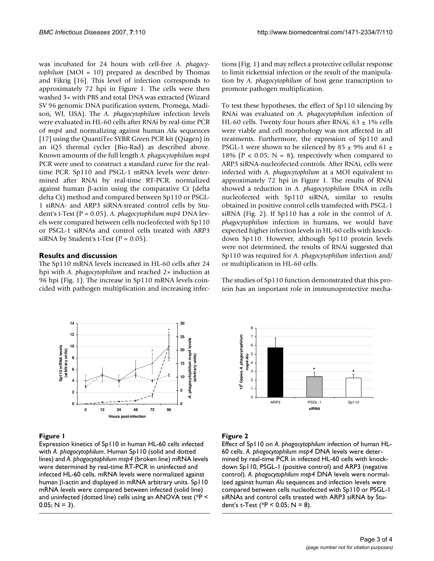was incubated for 24 hours with cell-free *A. phagocytophilum* (MOI = 10) prepared as described by Thomas and Fikrig [16]. This level of infection corresponds to approximately 72 hpi in Figure 1. The cells were then washed 3× with PBS and total DNA was extracted (Wizard SV 96 genomic DNA purification system, Promega, Madison, WI, USA). The *A. phagocytophilum* infection levels were evaluated in HL-60 cells after RNAi by real-time PCR of *msp4* and normalizing against human *Alu* sequences [17] using the QuantiTec SYBR Green PCR kit (Qiagen) in an iQ5 thermal cycler (Bio-Rad) as described above. Known amounts of the full length *A. phagocytophilum msp4* PCR were used to construct a standard curve for the realtime PCR. Sp110 and PSGL-1 mRNA levels were determined after RNAi by real-time RT-PCR, normalized against human β-actin using the comparative Ct (delta delta Ct) method and compared between Sp110 or PSGL-1 siRNA- and ARP3 siRNA-treated control cells by Student's t-Test (P = 0.05). *A. phagocytophilum msp4* DNA levels were compared between cells nucleofected with Sp110 or PSGL-1 siRNAs and control cells treated with ARP3 siRNA by Student's t-Test ( $P = 0.05$ ).

#### **Results and discussion**

The Sp110 mRNA levels increased in HL-60 cells after 24 hpi with *A. phagocytophilum* and reached 2× induction at 96 hpi (Fig. 1). The increase in Sp110 mRNA levels coincided with pathogen multiplication and increasing infec-



#### Figure 1

Expression kinetics of Sp110 in human HL-60 cells infected with *A. phagocytophilum*. Human Sp110 (solid and dotted lines) and *A. phagocytophilum msp4* (broken line) mRNA levels were determined by real-time RT-PCR in uninfected and infected HL-60 cells. mRNA levels were normalized against human β-actin and displayed in mRNA arbitrary units. Sp110 mRNA levels were compared between infected (solid line) and uninfected (dotted line) cells using an ANOVA test (\*P <  $0.05; N = 3$ ).

tions (Fig. 1) and may reflect a protective cellular response to limit rickettsial infection or the result of the manipulation by *A. phagocytophilum* of host gene transcription to promote pathogen multiplication.

To test these hypotheses, the effect of Sp110 silencing by RNAi was evaluated on *A. phagocytophilum* infection of HL-60 cells. Twenty four hours after RNAi,  $63 \pm 1\%$  cells were viable and cell morphology was not affected in all treatments. Furthermore, the expression of Sp110 and PSGL-1 were shown to be silenced by  $85 \pm 9\%$  and  $61 \pm$ 18% ( $P < 0.05$ ; N = 8), respectively when compared to ARP3 siRNA-nucleofected controls. After RNAi, cells were infected with *A. phagocytophilum* at a MOI equivalent to approximately 72 hpi in Figure 1. The results of RNAi showed a reduction in *A. phagocytophilum* DNA in cells nucleofected with Sp110 siRNA, similar to results obtained in positive control cells transfected with PSGL-1 siRNA (Fig. 2). If Sp110 has a role in the control of *A. phagocytophilum* infection in humans, we would have expected higher infection levels in HL-60 cells with knockdown Sp110. However, although Sp110 protein levels were not determined, the results of RNAi suggested that Sp110 was required for *A. phagocytophilum* infection and/ or multiplication in HL-60 cells.

The studies of Sp110 function demonstrated that this protein has an important role in immunoprotective mecha-



### **Figure 2**

Effect of Sp110 on *A. phagocytophilum* infection of human HL-60 cells. *A. phagocytophilum msp4* DNA levels were determined by real-time PCR in infected HL-60 cells with knockdown Sp110, PSGL-1 (positive control) and ARP3 (negative control). *A. phagocytophilum msp4* DNA levels were normalized against human *Alu* sequences and infection levels were compared between cells nucleofected with Sp110 or PSGL-1 siRNAs and control cells treated with ARP3 siRNA by Student's t-Test (\* $P < 0.05$ ; N = 8).